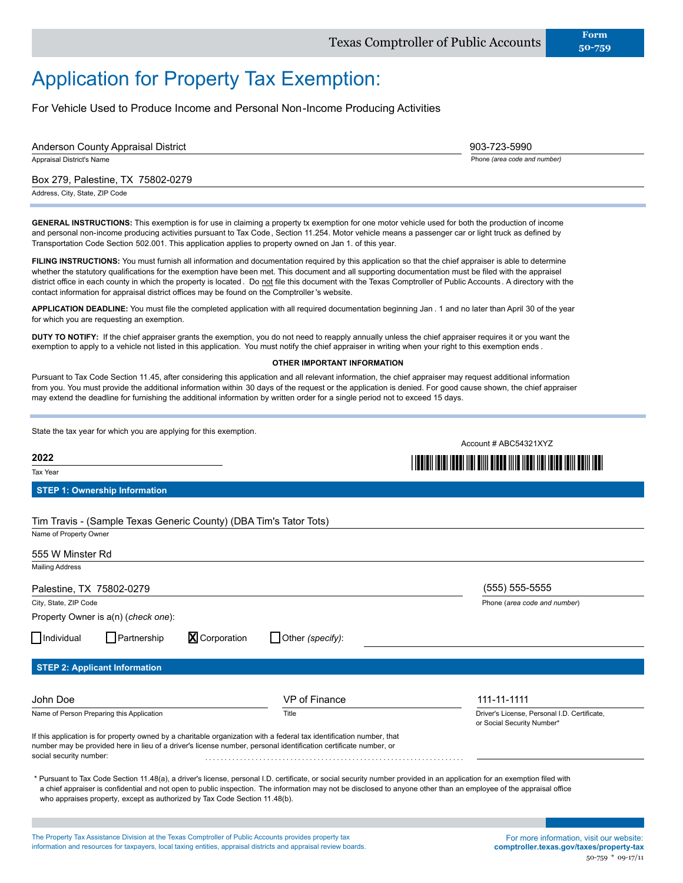## Application for Property Tax Exemption:

For Vehicle Used to Produce Income and Personal Non-Income Producing Activities

| <b>Anderson County Appraisal District</b>                                                                                                                                                                                                                                                                                                                                                                                                                                                                                                                                                                                                                                                                                                                                                                                                                                                                                                                                                                      |                                    | 903-723-5990                                   |
|----------------------------------------------------------------------------------------------------------------------------------------------------------------------------------------------------------------------------------------------------------------------------------------------------------------------------------------------------------------------------------------------------------------------------------------------------------------------------------------------------------------------------------------------------------------------------------------------------------------------------------------------------------------------------------------------------------------------------------------------------------------------------------------------------------------------------------------------------------------------------------------------------------------------------------------------------------------------------------------------------------------|------------------------------------|------------------------------------------------|
| Appraisal District's Name                                                                                                                                                                                                                                                                                                                                                                                                                                                                                                                                                                                                                                                                                                                                                                                                                                                                                                                                                                                      |                                    | Phone (area code and number)                   |
| Box 279, Palestine, TX 75802-0279                                                                                                                                                                                                                                                                                                                                                                                                                                                                                                                                                                                                                                                                                                                                                                                                                                                                                                                                                                              |                                    |                                                |
| Address, City, State, ZIP Code                                                                                                                                                                                                                                                                                                                                                                                                                                                                                                                                                                                                                                                                                                                                                                                                                                                                                                                                                                                 |                                    |                                                |
| <b>GENERAL INSTRUCTIONS:</b> This exemption is for use in claiming a property tx exemption for one motor vehicle used for both the production of income<br>and personal non-income producing activities pursuant to Tax Code, Section 11.254. Motor vehicle means a passenger car or light truck as defined by<br>Transportation Code Section 502.001. This application applies to property owned on Jan 1. of this year.<br>FILING INSTRUCTIONS: You must furnish all information and documentation required by this application so that the chief appraiser is able to determine<br>whether the statutory qualifications for the exemption have been met. This document and all supporting documentation must be filed with the appraisel<br>district office in each county in which the property is located. Do not file this document with the Texas Comptroller of Public Accounts. A directory with the<br>contact information for appraisal district offices may be found on the Comptroller's website. |                                    |                                                |
| APPLICATION DEADLINE: You must file the completed application with all required documentation beginning Jan. 1 and no later than April 30 of the year<br>for which you are requesting an exemption.                                                                                                                                                                                                                                                                                                                                                                                                                                                                                                                                                                                                                                                                                                                                                                                                            |                                    |                                                |
| <b>DUTY TO NOTIFY:</b> If the chief appraiser grants the exemption, you do not need to reapply annually unless the chief appraiser requires it or you want the<br>exemption to apply to a vehicle not listed in this application. You must notify the chief appraiser in writing when your right to this exemption ends.                                                                                                                                                                                                                                                                                                                                                                                                                                                                                                                                                                                                                                                                                       |                                    |                                                |
|                                                                                                                                                                                                                                                                                                                                                                                                                                                                                                                                                                                                                                                                                                                                                                                                                                                                                                                                                                                                                | <b>OTHER IMPORTANT INFORMATION</b> |                                                |
| Pursuant to Tax Code Section 11.45, after considering this application and all relevant information, the chief appraiser may request additional information<br>from you. You must provide the additional information within 30 days of the request or the application is denied. For good cause shown, the chief appraiser<br>may extend the deadline for furnishing the additional information by written order for a single period not to exceed 15 days.                                                                                                                                                                                                                                                                                                                                                                                                                                                                                                                                                    |                                    |                                                |
| State the tax year for which you are applying for this exemption.                                                                                                                                                                                                                                                                                                                                                                                                                                                                                                                                                                                                                                                                                                                                                                                                                                                                                                                                              |                                    | Account # ABC54321XYZ                          |
| 2022                                                                                                                                                                                                                                                                                                                                                                                                                                                                                                                                                                                                                                                                                                                                                                                                                                                                                                                                                                                                           |                                    |                                                |
| Tax Year                                                                                                                                                                                                                                                                                                                                                                                                                                                                                                                                                                                                                                                                                                                                                                                                                                                                                                                                                                                                       |                                    |                                                |
| <b>STEP 1: Ownership Information</b><br>Tim Travis - (Sample Texas Generic County) (DBA Tim's Tator Tots)                                                                                                                                                                                                                                                                                                                                                                                                                                                                                                                                                                                                                                                                                                                                                                                                                                                                                                      |                                    |                                                |
| Name of Property Owner                                                                                                                                                                                                                                                                                                                                                                                                                                                                                                                                                                                                                                                                                                                                                                                                                                                                                                                                                                                         |                                    |                                                |
| 555 W Minster Rd                                                                                                                                                                                                                                                                                                                                                                                                                                                                                                                                                                                                                                                                                                                                                                                                                                                                                                                                                                                               |                                    |                                                |
| <b>Mailing Address</b>                                                                                                                                                                                                                                                                                                                                                                                                                                                                                                                                                                                                                                                                                                                                                                                                                                                                                                                                                                                         |                                    |                                                |
| Palestine, TX 75802-0279<br>City, State, ZIP Code                                                                                                                                                                                                                                                                                                                                                                                                                                                                                                                                                                                                                                                                                                                                                                                                                                                                                                                                                              |                                    | (555) 555-5555<br>Phone (area code and number) |
| Property Owner is a(n) (check one):                                                                                                                                                                                                                                                                                                                                                                                                                                                                                                                                                                                                                                                                                                                                                                                                                                                                                                                                                                            |                                    |                                                |
| Individual<br><b>X</b> Corporation<br>Partnership                                                                                                                                                                                                                                                                                                                                                                                                                                                                                                                                                                                                                                                                                                                                                                                                                                                                                                                                                              | Other (specify):                   |                                                |
|                                                                                                                                                                                                                                                                                                                                                                                                                                                                                                                                                                                                                                                                                                                                                                                                                                                                                                                                                                                                                |                                    |                                                |
|                                                                                                                                                                                                                                                                                                                                                                                                                                                                                                                                                                                                                                                                                                                                                                                                                                                                                                                                                                                                                |                                    |                                                |
| <b>STEP 2: Applicant Information</b>                                                                                                                                                                                                                                                                                                                                                                                                                                                                                                                                                                                                                                                                                                                                                                                                                                                                                                                                                                           |                                    |                                                |
| John Doe                                                                                                                                                                                                                                                                                                                                                                                                                                                                                                                                                                                                                                                                                                                                                                                                                                                                                                                                                                                                       | VP of Finance                      | 111-11-1111                                    |
|                                                                                                                                                                                                                                                                                                                                                                                                                                                                                                                                                                                                                                                                                                                                                                                                                                                                                                                                                                                                                | Title                              | Driver's License, Personal I.D. Certificate,   |
| Name of Person Preparing this Application<br>If this application is for property owned by a charitable organization with a federal tax identification number, that<br>number may be provided here in lieu of a driver's license number, personal identification certificate number, or<br>social security number:                                                                                                                                                                                                                                                                                                                                                                                                                                                                                                                                                                                                                                                                                              |                                    | or Social Security Number*                     |
| * Pursuant to Tax Code Section 11.48(a), a driver's license, personal I.D. certificate, or social security number provided in an application for an exemption filed with<br>a chief appraiser is confidential and not open to public inspection. The information may not be disclosed to anyone other than an employee of the appraisal office<br>who appraises property, except as authorized by Tax Code Section 11.48(b).                                                                                                                                                                                                                                                                                                                                                                                                                                                                                                                                                                                   |                                    |                                                |

The Property Tax Assistance Division at the Texas Comptroller of Public Accounts provides property tax information and resources for taxpayers, local taxing entities, appraisal districts and appraisal review boards.